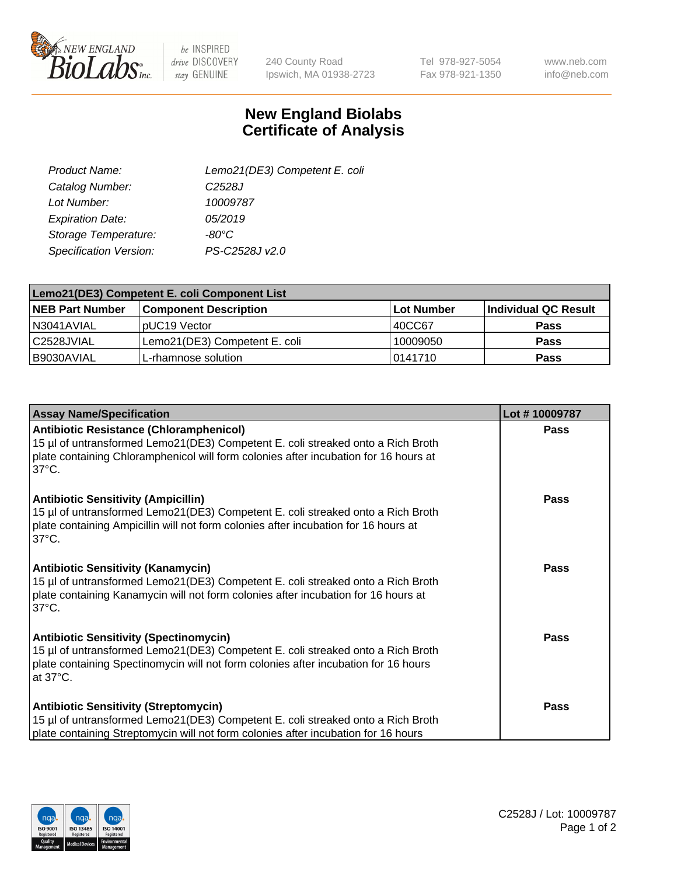

 $be$  INSPIRED drive DISCOVERY stay GENUINE

240 County Road Ipswich, MA 01938-2723 Tel 978-927-5054 Fax 978-921-1350

www.neb.com info@neb.com

## **New England Biolabs Certificate of Analysis**

| Product Name:                 | Lemo21(DE3) Competent E. coli |
|-------------------------------|-------------------------------|
| Catalog Number:               | C <sub>2528</sub> J           |
| Lot Number:                   | 10009787                      |
| <b>Expiration Date:</b>       | 05/2019                       |
| Storage Temperature:          | $-80^{\circ}$ C               |
| <b>Specification Version:</b> | PS-C2528J v2.0                |

| Lemo21(DE3) Competent E. coli Component List |                               |                   |                      |  |
|----------------------------------------------|-------------------------------|-------------------|----------------------|--|
| <b>NEB Part Number</b>                       | <b>Component Description</b>  | <b>Lot Number</b> | Individual QC Result |  |
| I N3041AVIAL                                 | IpUC19 Vector                 | 40CC67            | Pass                 |  |
| C2528JVIAL                                   | Lemo21(DE3) Competent E. coli | 10009050          | <b>Pass</b>          |  |
| B9030AVIAL                                   | L-rhamnose solution           | 10141710          | <b>Pass</b>          |  |

| <b>Assay Name/Specification</b>                                                                                                                                                                                                              | Lot #10009787 |
|----------------------------------------------------------------------------------------------------------------------------------------------------------------------------------------------------------------------------------------------|---------------|
| <b>Antibiotic Resistance (Chloramphenicol)</b><br>15 µl of untransformed Lemo21(DE3) Competent E. coli streaked onto a Rich Broth<br>plate containing Chloramphenicol will form colonies after incubation for 16 hours at<br>$37^{\circ}$ C. | <b>Pass</b>   |
| <b>Antibiotic Sensitivity (Ampicillin)</b><br>15 µl of untransformed Lemo21(DE3) Competent E. coli streaked onto a Rich Broth<br>plate containing Ampicillin will not form colonies after incubation for 16 hours at<br>$37^{\circ}$ C.      | Pass          |
| <b>Antibiotic Sensitivity (Kanamycin)</b><br>15 µl of untransformed Lemo21(DE3) Competent E. coli streaked onto a Rich Broth<br>plate containing Kanamycin will not form colonies after incubation for 16 hours at<br>$37^{\circ}$ C.        | Pass          |
| <b>Antibiotic Sensitivity (Spectinomycin)</b><br>15 µl of untransformed Lemo21(DE3) Competent E. coli streaked onto a Rich Broth<br>plate containing Spectinomycin will not form colonies after incubation for 16 hours<br>at 37°C.          | Pass          |
| <b>Antibiotic Sensitivity (Streptomycin)</b><br>15 µl of untransformed Lemo21(DE3) Competent E. coli streaked onto a Rich Broth<br>plate containing Streptomycin will not form colonies after incubation for 16 hours                        | <b>Pass</b>   |